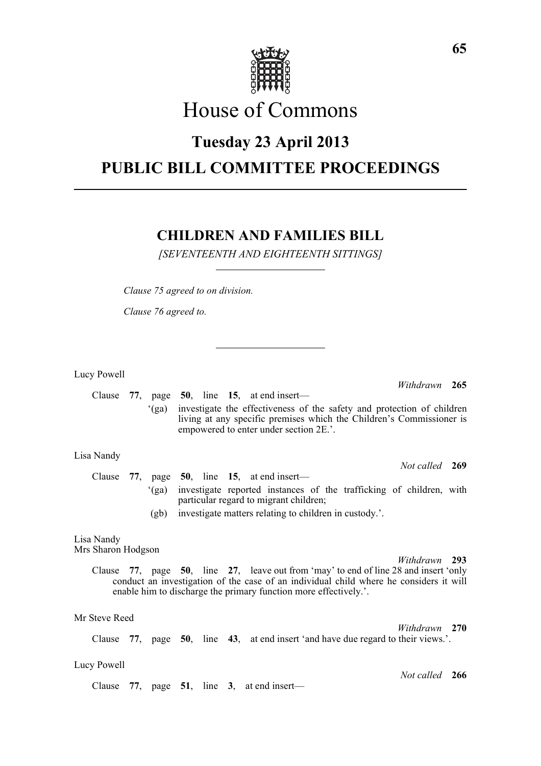

# House of Commons

## **Tuesday 23 April 2013**

## **PUBLIC BILL COMMITTEE PROCEEDINGS**

## **CHILDREN AND FAMILIES BILL**

*[SEVENTEENTH AND EIGHTEENTH SITTINGS]*

*Clause 75 agreed to on division.*

*Clause 76 agreed to.*

Lucy Powell

Clause **77**, page **50**, line **15**, at end insert—

'(ga) investigate the effectiveness of the safety and protection of children living at any specific premises which the Children's Commissioner is empowered to enter under section 2E.'.

## Lisa Nandy

*Not called* **269** Clause **77**, page **50**, line **15**, at end insert— '(ga) investigate reported instances of the trafficking of children, with particular regard to migrant children; (gb) investigate matters relating to children in custody.'.

## Lisa Nandy Mrs Sharon Hodgson

*Withdrawn* **293**

*Not called* **266**

*Withdrawn* **265**

Clause **77**, page **50**, line **27**, leave out from 'may' to end of line 28 and insert 'only conduct an investigation of the case of an individual child where he considers it will enable him to discharge the primary function more effectively.'.

## Mr Steve Reed

*Withdrawn* **270** Clause **77**, page **50**, line **43**, at end insert 'and have due regard to their views.'.

## Lucy Powell

Clause **77**, page **51**, line **3**, at end insert—

**65**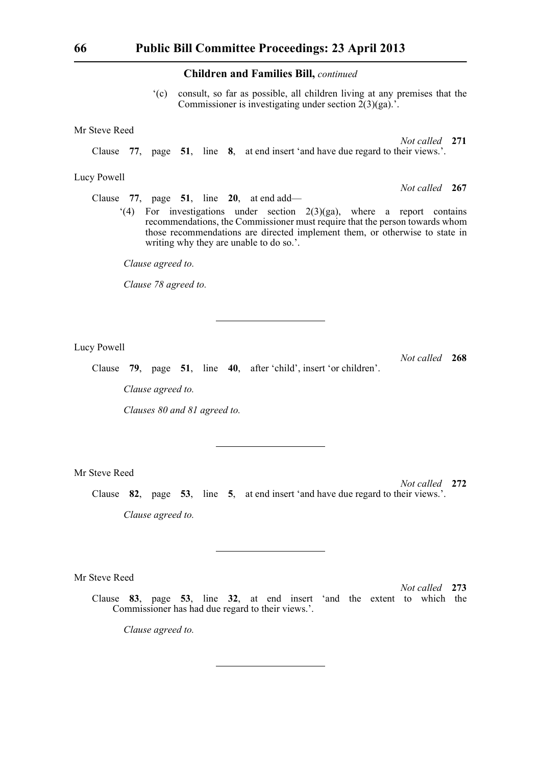'(c) consult, so far as possible, all children living at any premises that the Commissioner is investigating under section  $2(3)(ga)$ .

Mr Steve Reed

*Not called* **271**

*Not called* **267**

Clause **77**, page **51**, line **8**, at end insert 'and have due regard to their views.'.

## Lucy Powell

Clause **77**, page **51**, line **20**, at end add—

 $(4)$  For investigations under section  $2(3)(ga)$ , where a report contains recommendations, the Commissioner must require that the person towards whom those recommendations are directed implement them, or otherwise to state in writing why they are unable to do so.'.

*Clause agreed to.*

*Clause 78 agreed to.*

Lucy Powell

*Not called* **268**

Clause **79**, page **51**, line **40**, after 'child', insert 'or children'.

*Clause agreed to.*

*Clauses 80 and 81 agreed to.*

Mr Steve Reed

*Not called* **272** Clause **82**, page **53**, line **5**, at end insert 'and have due regard to their views.'. *Clause agreed to.*

Mr Steve Reed

*Not called* **273** Clause **83**, page **53**, line **32**, at end insert 'and the extent to which the Commissioner has had due regard to their views.'.

*Clause agreed to.*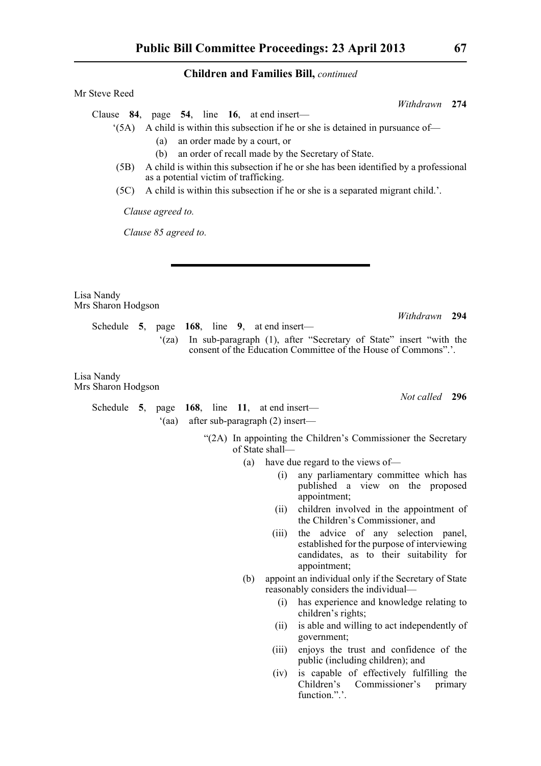'(5A) A child is within this subsection if he or she is detained in pursuance of— (a) an order made by a court, or (b) an order of recall made by the Secretary of State. (5B) A child is within this subsection if he or she has been identified by a professional as a potential victim of trafficking. (5C) A child is within this subsection if he or she is a separated migrant child.'. *Clause agreed to. Clause 85 agreed to. Withdrawn* **294** Schedule **5**, page **168**, line **9**, at end insert— '(za) In sub-paragraph (1), after "Secretary of State" insert "with the consent of the Education Committee of the House of Commons".'. *Not called* **296** Schedule **5**, page **168**, line **11**, at end insert— '(aa) after sub-paragraph (2) insert— "(2A) In appointing the Children's Commissioner the Secretary of State shall— (a) have due regard to the views of— (i) any parliamentary committee which has published a view on the proposed appointment; (ii) children involved in the appointment of the Children's Commissioner, and (iii) the advice of any selection panel, established for the purpose of interviewing candidates, as to their suitability for appointment; (b) appoint an individual only if the Secretary of State reasonably considers the individual— (i) has experience and knowledge relating to children's rights; (ii) is able and willing to act independently of government; (iii) enjoys the trust and confidence of the public (including children); and

> (iv) is capable of effectively fulfilling the Children's Commissioner's primary function.".'.

Clause **84**, page **54**, line **16**, at end insert—

Mr Steve Reed

Lisa Nandy Mrs Sharon Hodgson

Lisa Nandy Mrs Sharon Hodgson

*Withdrawn* **274**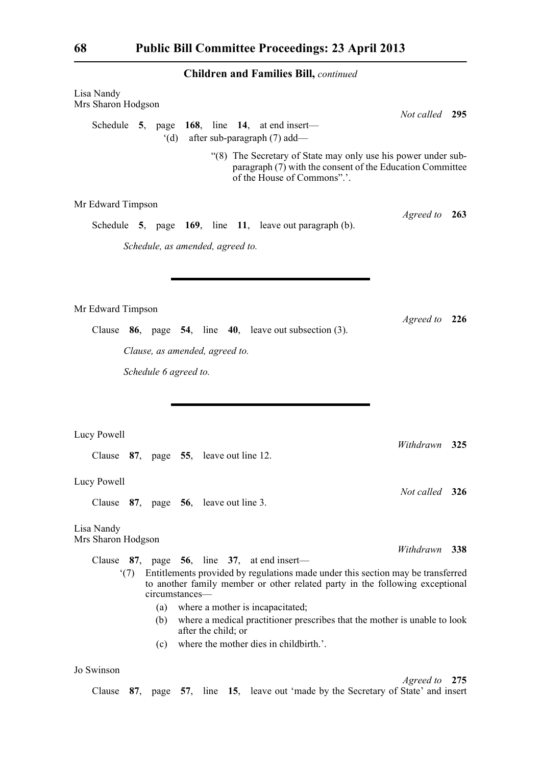| Lisa Nandy<br>Mrs Sharon Hodgson                                                                                                                                                         |                |     |
|------------------------------------------------------------------------------------------------------------------------------------------------------------------------------------------|----------------|-----|
| Schedule 5, page 168, line 14, at end insert—<br>$'(d)$ after sub-paragraph (7) add—                                                                                                     | Not called 295 |     |
| "(8) The Secretary of State may only use his power under sub-<br>paragraph (7) with the consent of the Education Committee<br>of the House of Commons".'.                                |                |     |
| Mr Edward Timpson                                                                                                                                                                        | Agreed to 263  |     |
| Schedule 5, page 169, line 11, leave out paragraph (b).                                                                                                                                  |                |     |
| Schedule, as amended, agreed to.                                                                                                                                                         |                |     |
|                                                                                                                                                                                          |                |     |
|                                                                                                                                                                                          |                |     |
| Mr Edward Timpson                                                                                                                                                                        |                |     |
| Clause $86$ , page $54$ , line $40$ , leave out subsection (3).                                                                                                                          | Agreed to 226  |     |
| Clause, as amended, agreed to.                                                                                                                                                           |                |     |
|                                                                                                                                                                                          |                |     |
| Schedule 6 agreed to.                                                                                                                                                                    |                |     |
|                                                                                                                                                                                          |                |     |
|                                                                                                                                                                                          |                |     |
| Lucy Powell                                                                                                                                                                              | Withdrawn      | 325 |
| Clause 87, page 55, leave out line 12.                                                                                                                                                   |                |     |
| Lucy Powell                                                                                                                                                                              |                |     |
| Clause 87, page 56, leave out line 3.                                                                                                                                                    | Not called 326 |     |
|                                                                                                                                                                                          |                |     |
| Lisa Nandy<br>Mrs Sharon Hodgson                                                                                                                                                         |                |     |
| Clause $87$ , page $56$ , line $37$ , at end insert—                                                                                                                                     | Withdrawn 338  |     |
| Entitlements provided by regulations made under this section may be transferred<br>(7)<br>to another family member or other related party in the following exceptional<br>circumstances— |                |     |
| where a mother is incapacitated;<br>(a)                                                                                                                                                  |                |     |
| where a medical practitioner prescribes that the mother is unable to look<br>(b)<br>after the child; or                                                                                  |                |     |
| where the mother dies in childbirth.'.<br>(c)                                                                                                                                            |                |     |
| Jo Swinson                                                                                                                                                                               |                |     |
|                                                                                                                                                                                          | Agreed to      | 275 |

Clause **87**, page **57**, line **15**, leave out 'made by the Secretary of State' and insert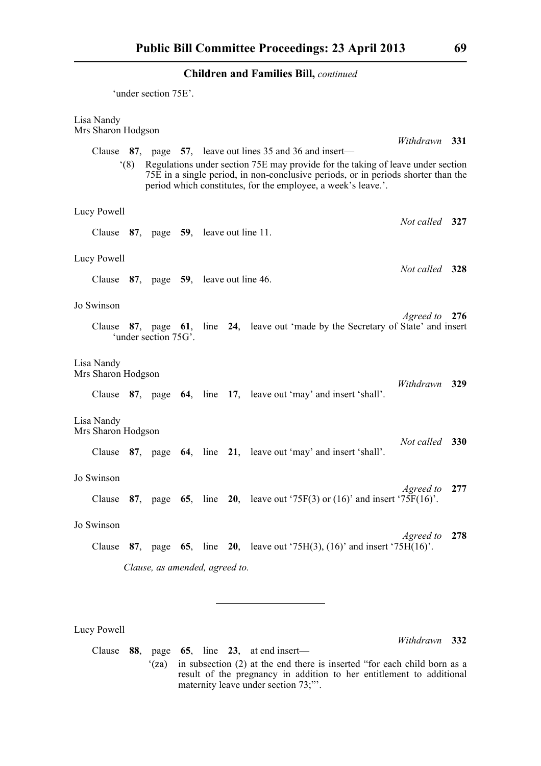'under section 75E'. Lisa Nandy Mrs Sharon Hodgson *Withdrawn* **331** Clause **87**, page **57**, leave out lines 35 and 36 and insert— '(8) Regulations under section 75E may provide for the taking of leave under section 75E in a single period, in non-conclusive periods, or in periods shorter than the period which constitutes, for the employee, a week's leave.'. Lucy Powell *Not called* **327** Clause **87**, page **59**, leave out line 11. Lucy Powell *Not called* **328** Clause **87**, page **59**, leave out line 46. Jo Swinson *Agreed to* **276** Clause **87**, page **61**, line **24**, leave out 'made by the Secretary of State' and insert 'under section 75G'. Lisa Nandy Mrs Sharon Hodgson *Withdrawn* **329** Clause **87**, page **64**, line **17**, leave out 'may' and insert 'shall'. Lisa Nandy Mrs Sharon Hodgson *Not called* **330** Clause **87**, page **64**, line **21**, leave out 'may' and insert 'shall'. Jo Swinson *Agreed to* **277** Clause **87**, page **65**, line **20**, leave out '75F(3) or (16)' and insert '75F(16)'. Jo Swinson *Agreed to* **278** Clause **87**, page **65**, line **20**, leave out '75H(3), (16)' and insert '75H(16)'. *Clause, as amended, agreed to.*

Lucy Powell

*Withdrawn* **332**

Clause **88**, page **65**, line **23**, at end insert— '(za) in subsection (2) at the end there is inserted "for each child born as a result of the pregnancy in addition to her entitlement to additional maternity leave under section 73;"'.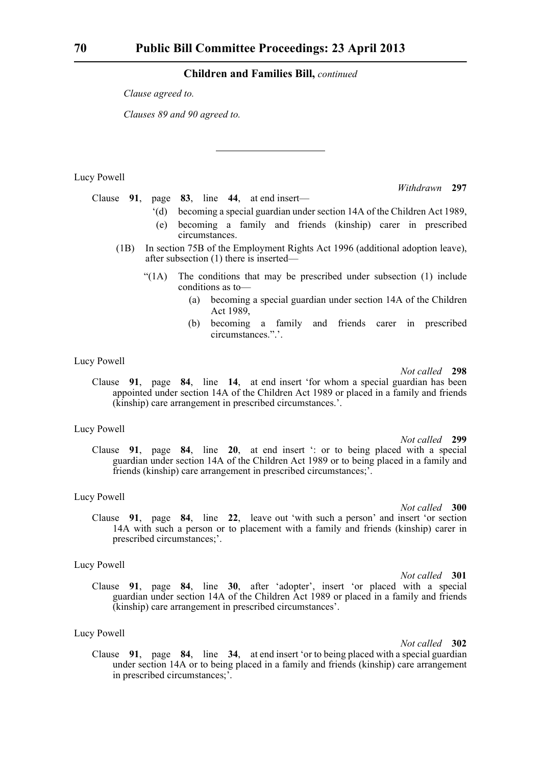*Clause agreed to.*

*Clauses 89 and 90 agreed to.*

Lucy Powell

*Withdrawn* **297**

- Clause **91**, page **83**, line **44**, at end insert—
	- '(d) becoming a special guardian under section 14A of the Children Act 1989,
	- (e) becoming a family and friends (kinship) carer in prescribed circumstances.
	- (1B) In section 75B of the Employment Rights Act 1996 (additional adoption leave), after subsection (1) there is inserted—
		- "(1A) The conditions that may be prescribed under subsection (1) include conditions as to—
			- (a) becoming a special guardian under section 14A of the Children Act 1989,
			- (b) becoming a family and friends carer in prescribed circumstances.".'.

## Lucy Powell

*Not called* **298**

Clause **91**, page **84**, line **14**, at end insert 'for whom a special guardian has been appointed under section 14A of the Children Act 1989 or placed in a family and friends (kinship) care arrangement in prescribed circumstances.'.

## Lucy Powell

*Not called* **299**

Clause **91**, page **84**, line **20**, at end insert ': or to being placed with a special guardian under section 14A of the Children Act 1989 or to being placed in a family and friends (kinship) care arrangement in prescribed circumstances;'.

#### Lucy Powell

*Not called* **300**

Clause **91**, page **84**, line **22**, leave out 'with such a person' and insert 'or section 14A with such a person or to placement with a family and friends (kinship) carer in prescribed circumstances;'.

## Lucy Powell

*Not called* **301**

Clause **91**, page **84**, line **30**, after 'adopter', insert 'or placed with a special guardian under section 14A of the Children Act 1989 or placed in a family and friends (kinship) care arrangement in prescribed circumstances'.

## Lucy Powell

*Not called* **302**

Clause **91**, page **84**, line **34**, at end insert 'or to being placed with a special guardian under section 14A or to being placed in a family and friends (kinship) care arrangement in prescribed circumstances;'.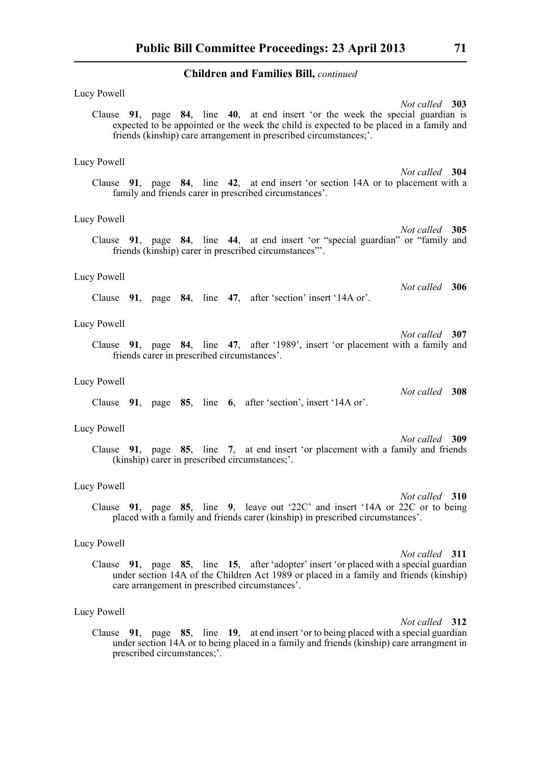| Lucy Powell                                                                                                                                                                                                                                                       |
|-------------------------------------------------------------------------------------------------------------------------------------------------------------------------------------------------------------------------------------------------------------------|
| Not called 303<br>Clause 91, page 84, line 40, at end insert 'or the week the special guardian is<br>expected to be appointed or the week the child is expected to be placed in a family and<br>friends (kinship) care arrangement in prescribed circumstances;'. |
| Lucy Powell                                                                                                                                                                                                                                                       |
| Not called 304<br>Clause 91, page 84, line 42, at end insert 'or section 14A or to placement with a<br>family and friends carer in prescribed circumstances'.                                                                                                     |
| Lucy Powell                                                                                                                                                                                                                                                       |
| Not called 305<br>Clause 91, page 84, line 44, at end insert 'or "special guardian" or "family and<br>friends (kinship) carer in prescribed circumstances".                                                                                                       |
| Lucy Powell                                                                                                                                                                                                                                                       |
| Not called 306<br>Clause 91, page 84, line 47, after 'section' insert '14A or'.                                                                                                                                                                                   |
| Lucy Powell<br>Not called 307                                                                                                                                                                                                                                     |
| Clause 91, page 84, line 47, after '1989', insert 'or placement with a family and<br>friends carer in prescribed circumstances'.                                                                                                                                  |
| Lucy Powell                                                                                                                                                                                                                                                       |
| Not called 308<br>Clause 91, page 85, line 6, after 'section', insert '14A or'.                                                                                                                                                                                   |
| Lucy Powell<br>Not called 309                                                                                                                                                                                                                                     |
| Clause 91, page 85, line 7, at end insert 'or placement with a family and friends<br>(kinship) carer in prescribed circumstances;'.                                                                                                                               |
| Lucy Powell                                                                                                                                                                                                                                                       |
| Not called 310<br>Clause 91, page 85, line 9, leave out '22C' and insert '14A or 22C or to being<br>placed with a family and friends carer (kinship) in prescribed circumstances'.                                                                                |

## Lucy Powell

*Not called* **311** Clause **91**, page **85**, line **15**, after 'adopter' insert 'or placed with a special guardian under section 14A of the Children Act 1989 or placed in a family and friends (kinship) care arrangement in prescribed circumstances'.

## Lucy Powell

*Not called* **312** Clause **91**, page **85**, line **19**, at end insert 'or to being placed with a special guardian under section 14A or to being placed in a family and friends (kinship) care arrangment in prescribed circumstances;'.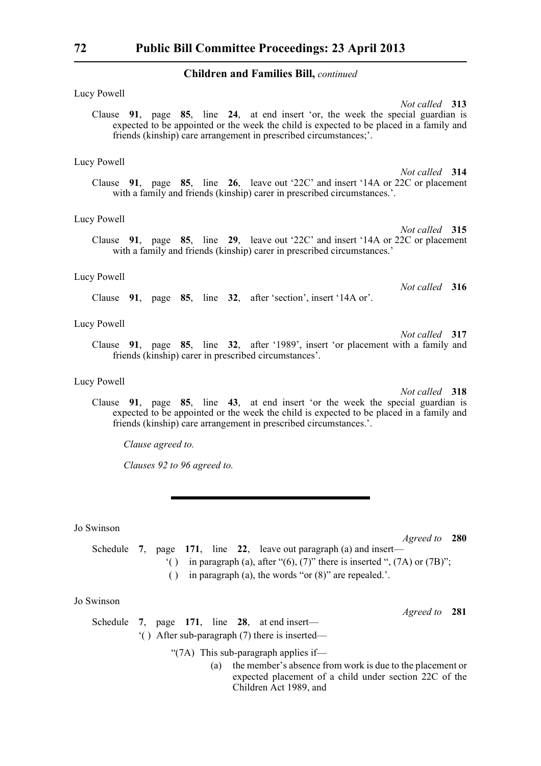| Lucy Powell |                                                                                                                                                                                                                                                  |  |  |                |  |
|-------------|--------------------------------------------------------------------------------------------------------------------------------------------------------------------------------------------------------------------------------------------------|--|--|----------------|--|
|             | Clause 91, page 85, line 24, at end insert 'or, the week the special guardian is<br>expected to be appointed or the week the child is expected to be placed in a family and<br>friends (kinship) care arrangement in prescribed circumstances;'. |  |  | Not called 313 |  |
| Lucy Powell |                                                                                                                                                                                                                                                  |  |  |                |  |
|             |                                                                                                                                                                                                                                                  |  |  | Not called 314 |  |
|             | Clause 91, page 85, line 26, leave out '22C' and insert '14A or 22C or placement<br>with a family and friends (kinship) carer in prescribed circumstances.'.                                                                                     |  |  |                |  |

### Lucy Powell

*Not called* **315** Clause **91**, page **85**, line **29**, leave out '22C' and insert '14A or 22C or placement with a family and friends (kinship) carer in prescribed circumstances.'

## Lucy Powell

Clause **91**, page **85**, line **32**, after 'section', insert '14A or'.

#### Lucy Powell

*Not called* **317** Clause **91**, page **85**, line **32**, after '1989', insert 'or placement with a family and friends (kinship) carer in prescribed circumstances'.

#### Lucy Powell

Clause **91**, page **85**, line **43**, at end insert 'or the week the special guardian is expected to be appointed or the week the child is expected to be placed in a family and friends (kinship) care arrangement in prescribed circumstances.'.

*Clause agreed to.*

*Clauses 92 to 96 agreed to.*

Jo Swinson

*Agreed to* **280**

- '( ) in paragraph (a), after " $(6)$ ,  $(7)$ " there is inserted ",  $(7A)$  or  $(7B)$ ";
- ( ) in paragraph (a), the words "or (8)" are repealed.'.

## Jo Swinson

*Agreed to* **281**

Schedule **7**, page **171**, line **28**, at end insert— '( ) After sub-paragraph (7) there is inserted—

"(7A) This sub-paragraph applies if—

Schedule **7**, page **171**, line **22**, leave out paragraph (a) and insert—

(a) the member's absence from work is due to the placement or expected placement of a child under section 22C of the Children Act 1989, and

*Not called* **316**

*Not called* **318**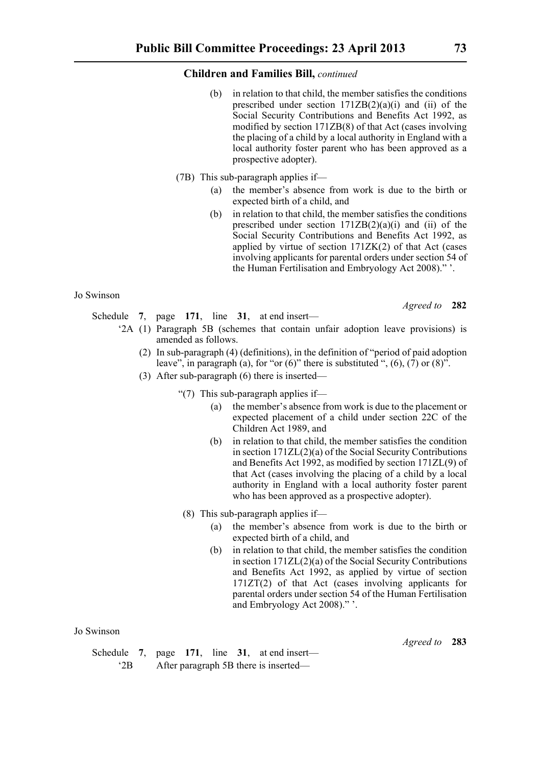- (b) in relation to that child, the member satisfies the conditions prescribed under section  $171ZB(2)(a)(i)$  and (ii) of the Social Security Contributions and Benefits Act 1992, as modified by section 171ZB(8) of that Act (cases involving the placing of a child by a local authority in England with a local authority foster parent who has been approved as a prospective adopter).
- (7B) This sub-paragraph applies if—
	- (a) the member's absence from work is due to the birth or expected birth of a child, and
	- (b) in relation to that child, the member satisfies the conditions prescribed under section  $171ZB(2)(a)(i)$  and (ii) of the Social Security Contributions and Benefits Act 1992, as applied by virtue of section 171ZK(2) of that Act (cases involving applicants for parental orders under section 54 of the Human Fertilisation and Embryology Act 2008)." '.

## Jo Swinson

Schedule **7**, page **171**, line **31**, at end insert—

- '2A (1) Paragraph 5B (schemes that contain unfair adoption leave provisions) is amended as follows.
	- (2) In sub-paragraph (4) (definitions), in the definition of "period of paid adoption leave", in paragraph (a), for "or  $(6)$ " there is substituted ",  $(6)$ ,  $(7)$  or  $(8)$ ".
	- (3) After sub-paragraph (6) there is inserted—

"(7) This sub-paragraph applies if—

- (a) the member's absence from work is due to the placement or expected placement of a child under section 22C of the Children Act 1989, and
- (b) in relation to that child, the member satisfies the condition in section 171ZL(2)(a) of the Social Security Contributions and Benefits Act 1992, as modified by section 171ZL(9) of that Act (cases involving the placing of a child by a local authority in England with a local authority foster parent who has been approved as a prospective adopter).

(8) This sub-paragraph applies if—

- (a) the member's absence from work is due to the birth or expected birth of a child, and
- (b) in relation to that child, the member satisfies the condition in section 171ZL(2)(a) of the Social Security Contributions and Benefits Act 1992, as applied by virtue of section 171ZT(2) of that Act (cases involving applicants for parental orders under section 54 of the Human Fertilisation and Embryology Act 2008)." '.

## Jo Swinson

*Agreed to* **283**

Schedule **7**, page **171**, line **31**, at end insert— '2B After paragraph 5B there is inserted*Agreed to* **282**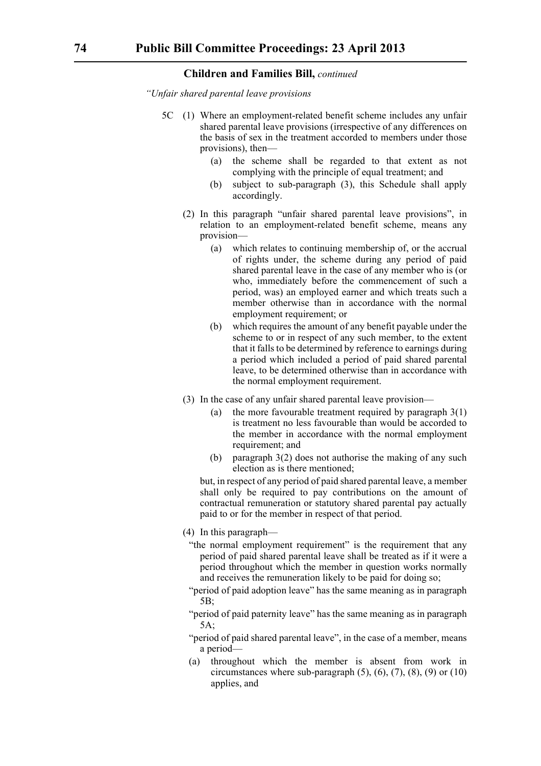*"Unfair shared parental leave provisions*

- 5C (1) Where an employment-related benefit scheme includes any unfair shared parental leave provisions (irrespective of any differences on the basis of sex in the treatment accorded to members under those provisions), then—
	- (a) the scheme shall be regarded to that extent as not complying with the principle of equal treatment; and
	- (b) subject to sub-paragraph (3), this Schedule shall apply accordingly.
	- (2) In this paragraph "unfair shared parental leave provisions", in relation to an employment-related benefit scheme, means any provision—
		- (a) which relates to continuing membership of, or the accrual of rights under, the scheme during any period of paid shared parental leave in the case of any member who is (or who, immediately before the commencement of such a period, was) an employed earner and which treats such a member otherwise than in accordance with the normal employment requirement; or
		- (b) which requires the amount of any benefit payable under the scheme to or in respect of any such member, to the extent that it falls to be determined by reference to earnings during a period which included a period of paid shared parental leave, to be determined otherwise than in accordance with the normal employment requirement.
	- (3) In the case of any unfair shared parental leave provision—
		- (a) the more favourable treatment required by paragraph 3(1) is treatment no less favourable than would be accorded to the member in accordance with the normal employment requirement; and
		- (b) paragraph 3(2) does not authorise the making of any such election as is there mentioned;

but, in respect of any period of paid shared parental leave, a member shall only be required to pay contributions on the amount of contractual remuneration or statutory shared parental pay actually paid to or for the member in respect of that period.

- (4) In this paragraph—
	- "the normal employment requirement" is the requirement that any period of paid shared parental leave shall be treated as if it were a period throughout which the member in question works normally and receives the remuneration likely to be paid for doing so;
	- "period of paid adoption leave" has the same meaning as in paragraph 5B;
	- "period of paid paternity leave" has the same meaning as in paragraph 5A;
	- "period of paid shared parental leave", in the case of a member, means a period—
	- (a) throughout which the member is absent from work in circumstances where sub-paragraph  $(5)$ ,  $(6)$ ,  $(7)$ ,  $(8)$ ,  $(9)$  or  $(10)$ applies, and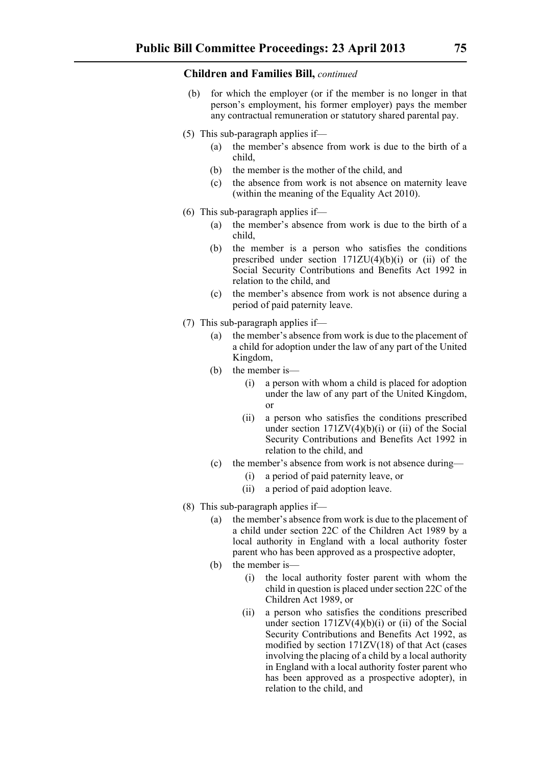- (b) for which the employer (or if the member is no longer in that person's employment, his former employer) pays the member any contractual remuneration or statutory shared parental pay.
- (5) This sub-paragraph applies if—
	- (a) the member's absence from work is due to the birth of a child,
	- (b) the member is the mother of the child, and
	- (c) the absence from work is not absence on maternity leave (within the meaning of the Equality Act 2010).
- (6) This sub-paragraph applies if—
	- (a) the member's absence from work is due to the birth of a child,
	- (b) the member is a person who satisfies the conditions prescribed under section  $171ZU(4)(b)(i)$  or (ii) of the Social Security Contributions and Benefits Act 1992 in relation to the child, and
	- (c) the member's absence from work is not absence during a period of paid paternity leave.
- (7) This sub-paragraph applies if—
	- (a) the member's absence from work is due to the placement of a child for adoption under the law of any part of the United Kingdom,
	- (b) the member is—
		- (i) a person with whom a child is placed for adoption under the law of any part of the United Kingdom, or
		- (ii) a person who satisfies the conditions prescribed under section  $171ZV(4)(b)(i)$  or (ii) of the Social Security Contributions and Benefits Act 1992 in relation to the child, and
	- (c) the member's absence from work is not absence during—
		- (i) a period of paid paternity leave, or
		- (ii) a period of paid adoption leave.
- (8) This sub-paragraph applies if—
	- (a) the member's absence from work is due to the placement of a child under section 22C of the Children Act 1989 by a local authority in England with a local authority foster parent who has been approved as a prospective adopter,
	- (b) the member is—
		- (i) the local authority foster parent with whom the child in question is placed under section 22C of the Children Act 1989, or
		- (ii) a person who satisfies the conditions prescribed under section  $171ZV(4)(b)(i)$  or (ii) of the Social Security Contributions and Benefits Act 1992, as modified by section 171ZV(18) of that Act (cases involving the placing of a child by a local authority in England with a local authority foster parent who has been approved as a prospective adopter), in relation to the child, and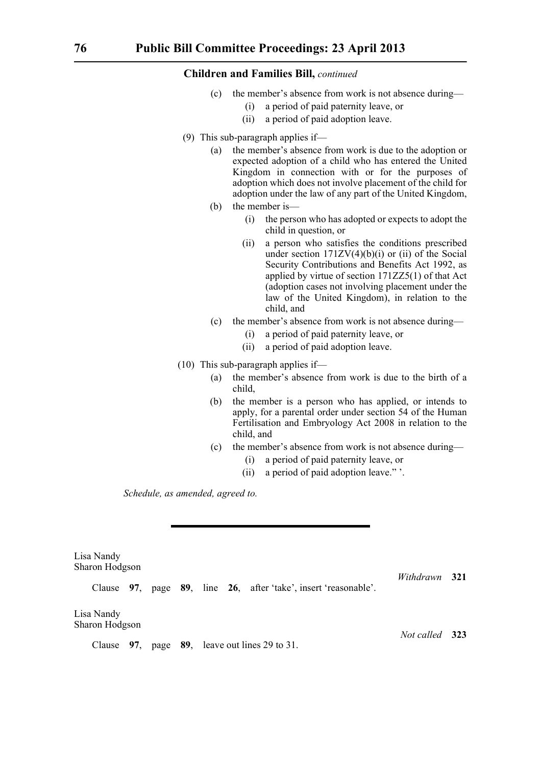- (c) the member's absence from work is not absence during—
	- (i) a period of paid paternity leave, or
	- (ii) a period of paid adoption leave.
- (9) This sub-paragraph applies if—
	- (a) the member's absence from work is due to the adoption or expected adoption of a child who has entered the United Kingdom in connection with or for the purposes of adoption which does not involve placement of the child for adoption under the law of any part of the United Kingdom,
	- (b) the member is—
		- (i) the person who has adopted or expects to adopt the child in question, or
		- (ii) a person who satisfies the conditions prescribed under section  $171ZV(4)(b)(i)$  or (ii) of the Social Security Contributions and Benefits Act 1992, as applied by virtue of section 171ZZ5(1) of that Act (adoption cases not involving placement under the law of the United Kingdom), in relation to the child, and
	- (c) the member's absence from work is not absence during—
		- (i) a period of paid paternity leave, or
		- (ii) a period of paid adoption leave.
- (10) This sub-paragraph applies if—
	- (a) the member's absence from work is due to the birth of a child,
	- (b) the member is a person who has applied, or intends to apply, for a parental order under section 54 of the Human Fertilisation and Embryology Act 2008 in relation to the child, and
	- (c) the member's absence from work is not absence during—
		- (i) a period of paid paternity leave, or
		- (ii) a period of paid adoption leave." '.

*Schedule, as amended, agreed to.*

Lisa Nandy Sharon Hodgson

Clause **97**, page **89**, line **26**, after 'take', insert 'reasonable'.

*Withdrawn* **321**

*Not called* **323**

Lisa Nandy Sharon Hodgson

Clause **97**, page **89**, leave out lines 29 to 31.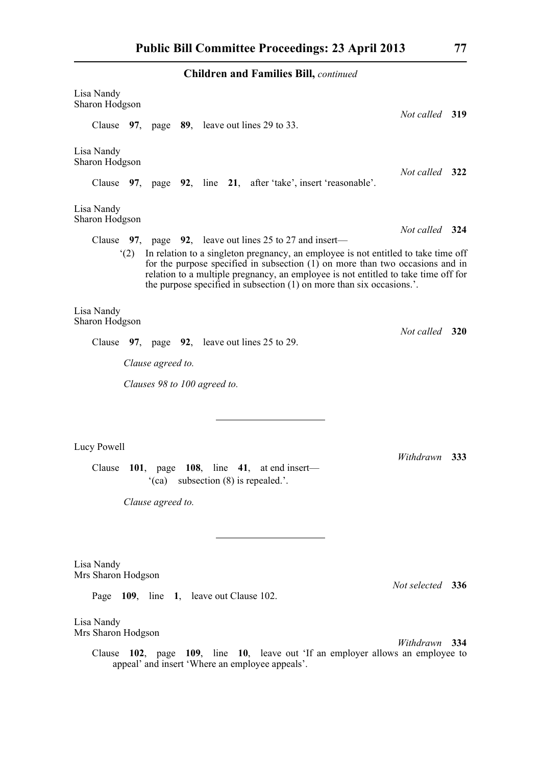| Lisa Nandy<br>Sharon Hodgson                        |     |                                                 |                                               |  |                                     |  |                                                                |                                                                       |                |                                                                                                                                                                                                                                                             |     |
|-----------------------------------------------------|-----|-------------------------------------------------|-----------------------------------------------|--|-------------------------------------|--|----------------------------------------------------------------|-----------------------------------------------------------------------|----------------|-------------------------------------------------------------------------------------------------------------------------------------------------------------------------------------------------------------------------------------------------------------|-----|
|                                                     |     |                                                 | Clause 97, page 89, leave out lines 29 to 33. |  |                                     |  |                                                                |                                                                       | Not called 319 |                                                                                                                                                                                                                                                             |     |
| Lisa Nandy<br>Sharon Hodgson                        |     |                                                 |                                               |  |                                     |  |                                                                |                                                                       |                | Not called 322                                                                                                                                                                                                                                              |     |
|                                                     |     |                                                 |                                               |  |                                     |  |                                                                | Clause 97, page 92, line 21, after 'take', insert 'reasonable'.       |                |                                                                                                                                                                                                                                                             |     |
| Lisa Nandy<br>Sharon Hodgson                        |     |                                                 |                                               |  |                                     |  |                                                                |                                                                       |                |                                                                                                                                                                                                                                                             |     |
|                                                     |     |                                                 |                                               |  |                                     |  | Clause $97$ , page $92$ , leave out lines 25 to 27 and insert— |                                                                       |                | Not called 324                                                                                                                                                                                                                                              |     |
|                                                     | (2) |                                                 |                                               |  |                                     |  |                                                                | the purpose specified in subsection (1) on more than six occasions.'. |                | In relation to a singleton pregnancy, an employee is not entitled to take time off<br>for the purpose specified in subsection $(1)$ on more than two occasions and in<br>relation to a multiple pregnancy, an employee is not entitled to take time off for |     |
| Lisa Nandy<br>Sharon Hodgson                        |     |                                                 |                                               |  |                                     |  |                                                                |                                                                       |                | Not called 320                                                                                                                                                                                                                                              |     |
| Clause $97$ , page $92$ , leave out lines 25 to 29. |     |                                                 |                                               |  |                                     |  |                                                                |                                                                       |                |                                                                                                                                                                                                                                                             |     |
|                                                     |     | Clause agreed to.                               |                                               |  |                                     |  |                                                                |                                                                       |                |                                                                                                                                                                                                                                                             |     |
|                                                     |     | Clauses 98 to 100 agreed to.                    |                                               |  |                                     |  |                                                                |                                                                       |                |                                                                                                                                                                                                                                                             |     |
| Lucy Powell                                         |     |                                                 |                                               |  |                                     |  |                                                                |                                                                       |                |                                                                                                                                                                                                                                                             |     |
| Clause                                              |     | 101, page 108, line 41, at end insert—          |                                               |  | '(ca) subsection (8) is repealed.'. |  |                                                                |                                                                       |                | Withdrawn 333                                                                                                                                                                                                                                               |     |
|                                                     |     | Clause agreed to.                               |                                               |  |                                     |  |                                                                |                                                                       |                |                                                                                                                                                                                                                                                             |     |
| Lisa Nandy<br>Mrs Sharon Hodgson                    |     |                                                 |                                               |  |                                     |  |                                                                |                                                                       |                | Not selected 336                                                                                                                                                                                                                                            |     |
| Page 109, line 1, leave out Clause 102.             |     |                                                 |                                               |  |                                     |  |                                                                |                                                                       |                |                                                                                                                                                                                                                                                             |     |
| Lisa Nandy<br>Mrs Sharon Hodgson<br>Clause          |     |                                                 |                                               |  |                                     |  |                                                                |                                                                       |                | Withdrawn<br>102, page 109, line 10, leave out 'If an employer allows an employee to                                                                                                                                                                        | 334 |
|                                                     |     | appeal' and insert 'Where an employee appeals'. |                                               |  |                                     |  |                                                                |                                                                       |                |                                                                                                                                                                                                                                                             |     |